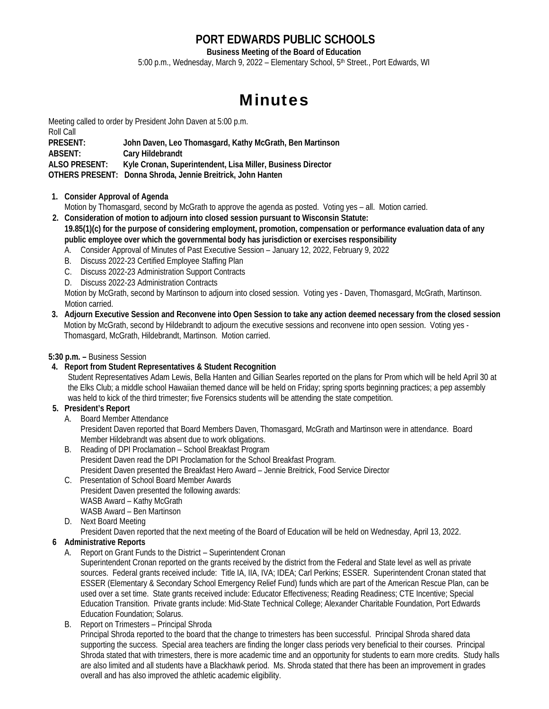# **PORT EDWARDS PUBLIC SCHOOLS**

**Business Meeting of the Board of Education**  5:00 p.m., Wednesday, March 9, 2022 - Elementary School, 5<sup>th</sup> Street., Port Edwards, WI

# Minutes

Meeting called to order by President John Daven at 5:00 p.m. Roll Call **PRESENT: John Daven, Leo Thomasgard, Kathy McGrath, Ben Martinson ABSENT: Cary Hildebrandt ALSO PRESENT: Kyle Cronan, Superintendent, Lisa Miller, Business Director OTHERS PRESENT: Donna Shroda, Jennie Breitrick, John Hanten** 

**1. Consider Approval of Agenda** 

Motion by Thomasgard, second by McGrath to approve the agenda as posted. Voting yes – all. Motion carried.

- **2. Consideration of motion to adjourn into closed session pursuant to Wisconsin Statute: 19.85(1)(c) for the purpose of considering employment, promotion, compensation or performance evaluation data of any public employee over which the governmental body has jurisdiction or exercises responsibility** 
	- A. Consider Approval of Minutes of Past Executive Session January 12, 2022, February 9, 2022
	- B. Discuss 2022-23 Certified Employee Staffing Plan
	- C. Discuss 2022-23 Administration Support Contracts
	- D. Discuss 2022-23 Administration Contracts

 Motion by McGrath, second by Martinson to adjourn into closed session. Voting yes - Daven, Thomasgard, McGrath, Martinson. Motion carried.

**3. Adjourn Executive Session and Reconvene into Open Session to take any action deemed necessary from the closed session**  Motion by McGrath, second by Hildebrandt to adjourn the executive sessions and reconvene into open session. Voting yes - Thomasgard, McGrath, Hildebrandt, Martinson. Motion carried.

**5:30 p.m. –** Business Session

**4. Report from Student Representatives & Student Recognition** 

Student Representatives Adam Lewis, Bella Hanten and Gillian Searles reported on the plans for Prom which will be held April 30 at the Elks Club; a middle school Hawaiian themed dance will be held on Friday; spring sports beginning practices; a pep assembly was held to kick of the third trimester; five Forensics students will be attending the state competition.

#### **5. President's Report**

A. Board Member Attendance

 President Daven reported that Board Members Daven, Thomasgard, McGrath and Martinson were in attendance. Board Member Hildebrandt was absent due to work obligations.

- B. Reading of DPI Proclamation School Breakfast Program President Daven read the DPI Proclamation for the School Breakfast Program. President Daven presented the Breakfast Hero Award – Jennie Breitrick, Food Service Director
- C. Presentation of School Board Member Awards President Daven presented the following awards: WASB Award – Kathy McGrath WASB Award – Ben Martinson
- D. Next Board Meeting

President Daven reported that the next meeting of the Board of Education will be held on Wednesday, April 13, 2022.

- **6 Administrative Reports** 
	- A. Report on Grant Funds to the District Superintendent Cronan Superintendent Cronan reported on the grants received by the district from the Federal and State level as well as private sources. Federal grants received include: Title IA, IIA, IVA; IDEA; Carl Perkins; ESSER. Superintendent Cronan stated that ESSER (Elementary & Secondary School Emergency Relief Fund) funds which are part of the American Rescue Plan, can be used over a set time. State grants received include: Educator Effectiveness; Reading Readiness; CTE Incentive; Special
		- Education Transition. Private grants include: Mid-State Technical College; Alexander Charitable Foundation, Port Edwards Education Foundation; Solarus.
	- B. Report on Trimesters Principal Shroda

 Principal Shroda reported to the board that the change to trimesters has been successful. Principal Shroda shared data supporting the success. Special area teachers are finding the longer class periods very beneficial to their courses. Principal Shroda stated that with trimesters, there is more academic time and an opportunity for students to earn more credits. Study halls are also limited and all students have a Blackhawk period. Ms. Shroda stated that there has been an improvement in grades overall and has also improved the athletic academic eligibility.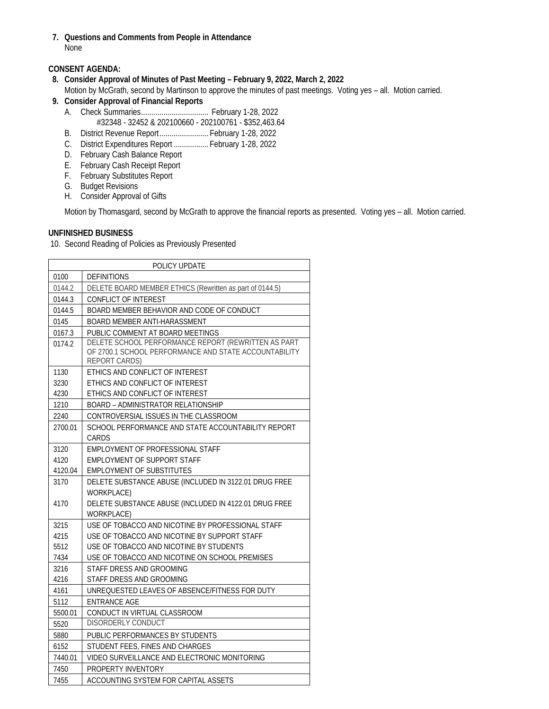**7. Questions and Comments from People in Attendance**  None

#### **CONSENT AGENDA:**

- **8. Consider Approval of Minutes of Past Meeting February 9, 2022, March 2, 2022**  Motion by McGrath, second by Martinson to approve the minutes of past meetings. Voting yes – all. Motion carried.
- **9. Consider Approval of Financial Reports** 
	- A. Check Summaries ................................. February 1-28, 2022 #32348 - 32452 & 202100660 - 202100761 - \$352,463.64
	- B. District Revenue Report ........................ February 1-28, 2022
	- C. District Expenditures Report ................. February 1-28, 2022
	- D. February Cash Balance Report
- E. February Cash Receipt Report
- F. February Substitutes Report
	- G. Budget Revisions
	- H. Consider Approval of Gifts

Motion by Thomasgard, second by McGrath to approve the financial reports as presented. Voting yes – all. Motion carried.

#### **UNFINISHED BUSINESS**

10. Second Reading of Policies as Previously Presented

| POLICY UPDATE |                                                                                                                               |  |
|---------------|-------------------------------------------------------------------------------------------------------------------------------|--|
| 0100          | <b>DEFINITIONS</b>                                                                                                            |  |
| 0144.2        | DELETE BOARD MEMBER ETHICS (Rewritten as part of 0144.5)                                                                      |  |
| 0144.3        | <b>CONFLICT OF INTEREST</b>                                                                                                   |  |
| 0144.5        | BOARD MEMBER BEHAVIOR AND CODE OF CONDUCT                                                                                     |  |
| 0145          | BOARD MEMBER ANTI-HARASSMENT                                                                                                  |  |
| 0167.3        | PUBLIC COMMENT AT BOARD MEETINGS                                                                                              |  |
| 0174.2        | DELETE SCHOOL PERFORMANCE REPORT (REWRITTEN AS PART<br>OF 2700.1 SCHOOL PERFORMANCE AND STATE ACCOUNTABILITY<br>REPORT CARDS) |  |
| 1130          | ETHICS AND CONFLICT OF INTEREST                                                                                               |  |
| 3230          | ETHICS AND CONFLICT OF INTEREST                                                                                               |  |
| 4230          | ETHICS AND CONFLICT OF INTEREST                                                                                               |  |
| 1210          | BOARD - ADMINISTRATOR RELATIONSHIP                                                                                            |  |
| 2240          | CONTROVERSIAL ISSUES IN THE CLASSROOM                                                                                         |  |
| 2700.01       | SCHOOL PERFORMANCE AND STATE ACCOUNTABILITY REPORT<br>CARDS                                                                   |  |
| 3120          | EMPLOYMENT OF PROFESSIONAL STAFF                                                                                              |  |
| 4120          | EMPLOYMENT OF SUPPORT STAFF                                                                                                   |  |
| 4120.04       | EMPLOYMENT OF SUBSTITUTES                                                                                                     |  |
| 3170          | DELETE SUBSTANCE ABUSE (INCLUDED IN 3122.01 DRUG FREE                                                                         |  |
|               | <b>WORKPLACE</b> )                                                                                                            |  |
| 4170          | DELETE SUBSTANCE ABUSE (INCLUDED IN 4122.01 DRUG FREE                                                                         |  |
|               | WORKPLACE)                                                                                                                    |  |
| 3215          | USE OF TOBACCO AND NICOTINE BY PROFESSIONAL STAFF                                                                             |  |
| 4215          | USE OF TOBACCO AND NICOTINE BY SUPPORT STAFF                                                                                  |  |
| 5512          | USE OF TOBACCO AND NICOTINE BY STUDENTS                                                                                       |  |
| 7434          | USE OF TOBACCO AND NICOTINE ON SCHOOL PREMISES                                                                                |  |
| 3216          | STAFF DRESS AND GROOMING                                                                                                      |  |
| 4216          | STAFF DRESS AND GROOMING                                                                                                      |  |
| 4161          | UNREQUESTED LEAVES OF ABSENCE/FITNESS FOR DUTY                                                                                |  |
| 5112          | <b>ENTRANCE AGE</b>                                                                                                           |  |
| 5500.01       | CONDUCT IN VIRTUAL CLASSROOM                                                                                                  |  |
| 5520          | DISORDERLY CONDUCT                                                                                                            |  |
| 5880          | PUBLIC PERFORMANCES BY STUDENTS                                                                                               |  |
| 6152          | STUDENT FEES, FINES AND CHARGES                                                                                               |  |
| 7440.01       | VIDEO SURVEILLANCE AND ELECTRONIC MONITORING                                                                                  |  |
| 7450          | PROPERTY INVENTORY                                                                                                            |  |
| 7455          | ACCOUNTING SYSTEM FOR CAPITAL ASSETS                                                                                          |  |